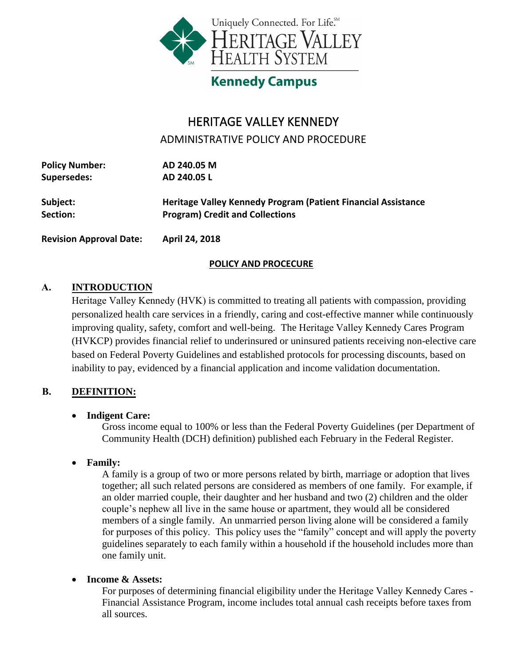

# **Kennedy Campus**

## HERITAGE VALLEY KENNEDY

ADMINISTRATIVE POLICY AND PROCEDURE

| <b>Policy Number:</b> | AD 240.05 M                                                   |  |  |  |  |
|-----------------------|---------------------------------------------------------------|--|--|--|--|
| <b>Supersedes:</b>    | AD 240.05 L                                                   |  |  |  |  |
| Subject:              | Heritage Valley Kennedy Program (Patient Financial Assistance |  |  |  |  |
| Section:              | <b>Program) Credit and Collections</b>                        |  |  |  |  |
|                       |                                                               |  |  |  |  |

**Revision Approval Date: April 24, 2018** 

## **POLICY AND PROCECURE**

## **A. INTRODUCTION**

Heritage Valley Kennedy (HVK) is committed to treating all patients with compassion, providing personalized health care services in a friendly, caring and cost-effective manner while continuously improving quality, safety, comfort and well-being. The Heritage Valley Kennedy Cares Program (HVKCP) provides financial relief to underinsured or uninsured patients receiving non-elective care based on Federal Poverty Guidelines and established protocols for processing discounts, based on inability to pay, evidenced by a financial application and income validation documentation.

## **B. DEFINITION:**

## **Indigent Care:**

Gross income equal to 100% or less than the Federal Poverty Guidelines (per Department of Community Health (DCH) definition) published each February in the Federal Register.

## **Family:**

A family is a group of two or more persons related by birth, marriage or adoption that lives together; all such related persons are considered as members of one family. For example, if an older married couple, their daughter and her husband and two (2) children and the older couple's nephew all live in the same house or apartment, they would all be considered members of a single family. An unmarried person living alone will be considered a family for purposes of this policy. This policy uses the "family" concept and will apply the poverty guidelines separately to each family within a household if the household includes more than one family unit.

## **Income & Assets:**

For purposes of determining financial eligibility under the Heritage Valley Kennedy Cares - Financial Assistance Program, income includes total annual cash receipts before taxes from all sources.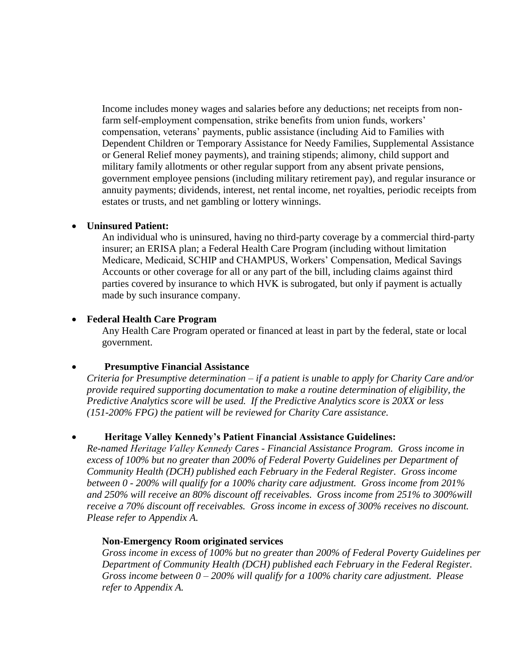Income includes money wages and salaries before any deductions; net receipts from nonfarm self-employment compensation, strike benefits from union funds, workers' compensation, veterans' payments, public assistance (including Aid to Families with Dependent Children or Temporary Assistance for Needy Families, Supplemental Assistance or General Relief money payments), and training stipends; alimony, child support and military family allotments or other regular support from any absent private pensions, government employee pensions (including military retirement pay), and regular insurance or annuity payments; dividends, interest, net rental income, net royalties, periodic receipts from estates or trusts, and net gambling or lottery winnings.

#### **Uninsured Patient:**

An individual who is uninsured, having no third-party coverage by a commercial third-party insurer; an ERISA plan; a Federal Health Care Program (including without limitation Medicare, Medicaid, SCHIP and CHAMPUS, Workers' Compensation, Medical Savings Accounts or other coverage for all or any part of the bill, including claims against third parties covered by insurance to which HVK is subrogated, but only if payment is actually made by such insurance company.

#### **Federal Health Care Program**

Any Health Care Program operated or financed at least in part by the federal, state or local government.

## **Presumptive Financial Assistance**

*Criteria for Presumptive determination – if a patient is unable to apply for Charity Care and/or provide required supporting documentation to make a routine determination of eligibility, the Predictive Analytics score will be used. If the Predictive Analytics score is 20XX or less (151-200% FPG) the patient will be reviewed for Charity Care assistance.*

## **Heritage Valley Kennedy's Patient Financial Assistance Guidelines:**

*Re-named Heritage Valley Kennedy Cares - Financial Assistance Program. Gross income in excess of 100% but no greater than 200% of Federal Poverty Guidelines per Department of Community Health (DCH) published each February in the Federal Register. Gross income between 0 - 200% will qualify for a 100% charity care adjustment. Gross income from 201% and 250% will receive an 80% discount off receivables. Gross income from 251% to 300%will receive a 70% discount off receivables. Gross income in excess of 300% receives no discount. Please refer to Appendix A.*

#### **Non-Emergency Room originated services**

*Gross income in excess of 100% but no greater than 200% of Federal Poverty Guidelines per Department of Community Health (DCH) published each February in the Federal Register. Gross income between 0 – 200% will qualify for a 100% charity care adjustment. Please refer to Appendix A.*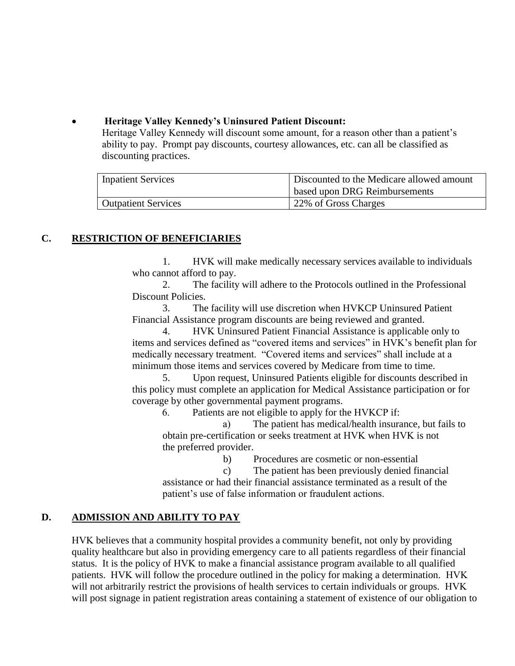## **Heritage Valley Kennedy's Uninsured Patient Discount:**

Heritage Valley Kennedy will discount some amount, for a reason other than a patient's ability to pay. Prompt pay discounts, courtesy allowances, etc. can all be classified as discounting practices.

| <b>Inpatient Services</b>  | Discounted to the Medicare allowed amount |  |  |  |
|----------------------------|-------------------------------------------|--|--|--|
|                            | based upon DRG Reimbursements             |  |  |  |
| <b>Outpatient Services</b> | 22% of Gross Charges                      |  |  |  |

## **C. RESTRICTION OF BENEFICIARIES**

1. HVK will make medically necessary services available to individuals who cannot afford to pay.

2. The facility will adhere to the Protocols outlined in the Professional Discount Policies.

3. The facility will use discretion when HVKCP Uninsured Patient Financial Assistance program discounts are being reviewed and granted.

4. HVK Uninsured Patient Financial Assistance is applicable only to items and services defined as "covered items and services" in HVK's benefit plan for medically necessary treatment. "Covered items and services" shall include at a minimum those items and services covered by Medicare from time to time.

5. Upon request, Uninsured Patients eligible for discounts described in this policy must complete an application for Medical Assistance participation or for coverage by other governmental payment programs.

6. Patients are not eligible to apply for the HVKCP if:

a) The patient has medical/health insurance, but fails to obtain pre-certification or seeks treatment at HVK when HVK is not the preferred provider.

b) Procedures are cosmetic or non-essential

c) The patient has been previously denied financial

assistance or had their financial assistance terminated as a result of the patient's use of false information or fraudulent actions.

## **D. ADMISSION AND ABILITY TO PAY**

HVK believes that a community hospital provides a community benefit, not only by providing quality healthcare but also in providing emergency care to all patients regardless of their financial status. It is the policy of HVK to make a financial assistance program available to all qualified patients. HVK will follow the procedure outlined in the policy for making a determination. HVK will not arbitrarily restrict the provisions of health services to certain individuals or groups. HVK will post signage in patient registration areas containing a statement of existence of our obligation to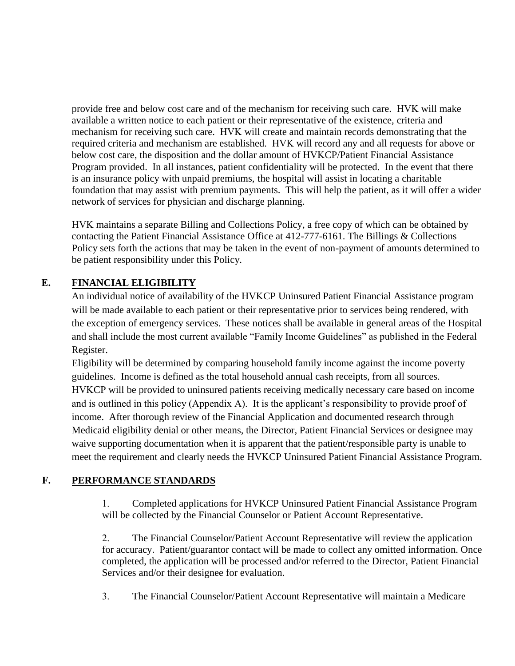provide free and below cost care and of the mechanism for receiving such care. HVK will make available a written notice to each patient or their representative of the existence, criteria and mechanism for receiving such care. HVK will create and maintain records demonstrating that the required criteria and mechanism are established. HVK will record any and all requests for above or below cost care, the disposition and the dollar amount of HVKCP/Patient Financial Assistance Program provided. In all instances, patient confidentiality will be protected. In the event that there is an insurance policy with unpaid premiums, the hospital will assist in locating a charitable foundation that may assist with premium payments. This will help the patient, as it will offer a wider network of services for physician and discharge planning.

HVK maintains a separate Billing and Collections Policy, a free copy of which can be obtained by contacting the Patient Financial Assistance Office at 412-777-6161. The Billings & Collections Policy sets forth the actions that may be taken in the event of non-payment of amounts determined to be patient responsibility under this Policy.

## **E. FINANCIAL ELIGIBILITY**

An individual notice of availability of the HVKCP Uninsured Patient Financial Assistance program will be made available to each patient or their representative prior to services being rendered, with the exception of emergency services. These notices shall be available in general areas of the Hospital and shall include the most current available "Family Income Guidelines" as published in the Federal Register.

Eligibility will be determined by comparing household family income against the income poverty guidelines. Income is defined as the total household annual cash receipts, from all sources. HVKCP will be provided to uninsured patients receiving medically necessary care based on income and is outlined in this policy (Appendix A). It is the applicant's responsibility to provide proof of income. After thorough review of the Financial Application and documented research through Medicaid eligibility denial or other means, the Director, Patient Financial Services or designee may waive supporting documentation when it is apparent that the patient/responsible party is unable to meet the requirement and clearly needs the HVKCP Uninsured Patient Financial Assistance Program.

## **F. PERFORMANCE STANDARDS**

1. Completed applications for HVKCP Uninsured Patient Financial Assistance Program will be collected by the Financial Counselor or Patient Account Representative.

2. The Financial Counselor/Patient Account Representative will review the application for accuracy. Patient/guarantor contact will be made to collect any omitted information. Once completed, the application will be processed and/or referred to the Director, Patient Financial Services and/or their designee for evaluation.

3. The Financial Counselor/Patient Account Representative will maintain a Medicare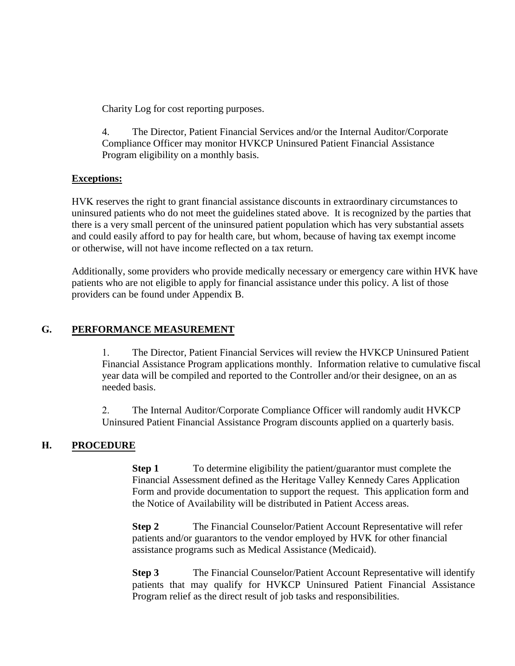Charity Log for cost reporting purposes.

4. The Director, Patient Financial Services and/or the Internal Auditor/Corporate Compliance Officer may monitor HVKCP Uninsured Patient Financial Assistance Program eligibility on a monthly basis.

#### **Exceptions:**

HVK reserves the right to grant financial assistance discounts in extraordinary circumstances to uninsured patients who do not meet the guidelines stated above. It is recognized by the parties that there is a very small percent of the uninsured patient population which has very substantial assets and could easily afford to pay for health care, but whom, because of having tax exempt income or otherwise, will not have income reflected on a tax return.

Additionally, some providers who provide medically necessary or emergency care within HVK have patients who are not eligible to apply for financial assistance under this policy. A list of those providers can be found under Appendix B.

#### **G. PERFORMANCE MEASUREMENT**

1. The Director, Patient Financial Services will review the HVKCP Uninsured Patient Financial Assistance Program applications monthly. Information relative to cumulative fiscal year data will be compiled and reported to the Controller and/or their designee, on an as needed basis.

2. The Internal Auditor/Corporate Compliance Officer will randomly audit HVKCP Uninsured Patient Financial Assistance Program discounts applied on a quarterly basis.

## **H. PROCEDURE**

**Step 1** To determine eligibility the patient/guarantor must complete the Financial Assessment defined as the Heritage Valley Kennedy Cares Application Form and provide documentation to support the request. This application form and the Notice of Availability will be distributed in Patient Access areas.

**Step 2** The Financial Counselor/Patient Account Representative will refer patients and/or guarantors to the vendor employed by HVK for other financial assistance programs such as Medical Assistance (Medicaid).

**Step 3** The Financial Counselor/Patient Account Representative will identify patients that may qualify for HVKCP Uninsured Patient Financial Assistance Program relief as the direct result of job tasks and responsibilities.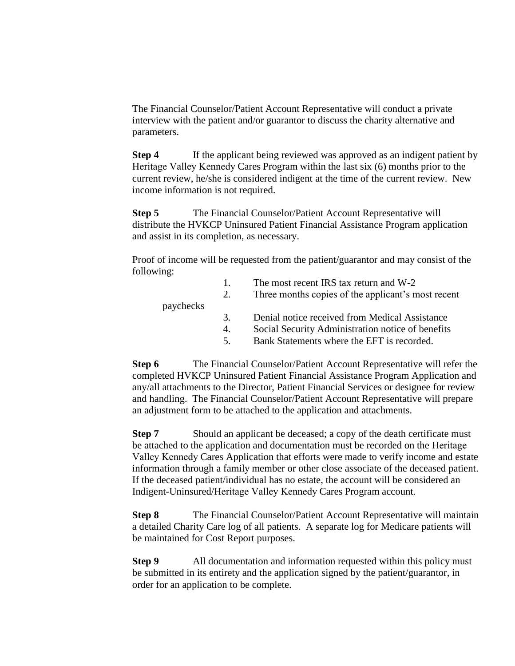The Financial Counselor/Patient Account Representative will conduct a private interview with the patient and/or guarantor to discuss the charity alternative and parameters.

**Step 4** If the applicant being reviewed was approved as an indigent patient by Heritage Valley Kennedy Cares Program within the last six (6) months prior to the current review, he/she is considered indigent at the time of the current review. New income information is not required.

**Step 5** The Financial Counselor/Patient Account Representative will distribute the HVKCP Uninsured Patient Financial Assistance Program application and assist in its completion, as necessary.

Proof of income will be requested from the patient/guarantor and may consist of the following:

|           |    | The most recent IRS tax return and W-2             |
|-----------|----|----------------------------------------------------|
|           | 2. | Three months copies of the applicant's most recent |
| paychecks |    |                                                    |
|           | 3. | Denial notice received from Medical Assistance     |
|           | 4. | Social Security Administration notice of benefits  |
|           | 5. | Bank Statements where the EFT is recorded.         |
|           |    |                                                    |

**Step 6** The Financial Counselor/Patient Account Representative will refer the completed HVKCP Uninsured Patient Financial Assistance Program Application and any/all attachments to the Director, Patient Financial Services or designee for review and handling. The Financial Counselor/Patient Account Representative will prepare an adjustment form to be attached to the application and attachments.

**Step 7** Should an applicant be deceased; a copy of the death certificate must be attached to the application and documentation must be recorded on the Heritage Valley Kennedy Cares Application that efforts were made to verify income and estate information through a family member or other close associate of the deceased patient. If the deceased patient/individual has no estate, the account will be considered an Indigent-Uninsured/Heritage Valley Kennedy Cares Program account.

**Step 8** The Financial Counselor/Patient Account Representative will maintain a detailed Charity Care log of all patients. A separate log for Medicare patients will be maintained for Cost Report purposes.

**Step 9** All documentation and information requested within this policy must be submitted in its entirety and the application signed by the patient/guarantor, in order for an application to be complete.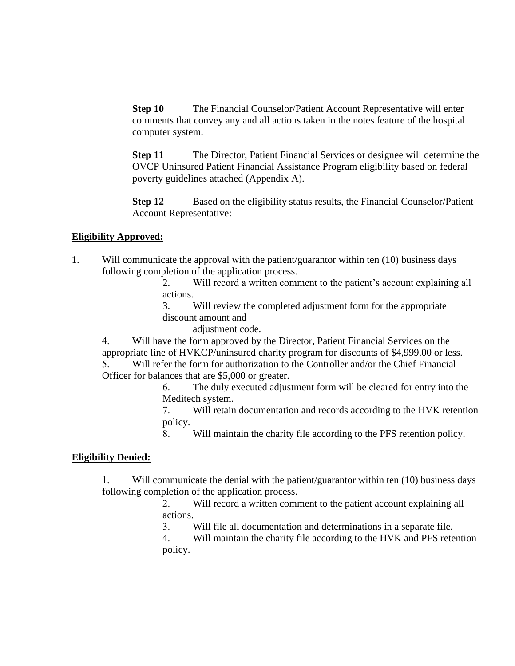**Step 10** The Financial Counselor/Patient Account Representative will enter comments that convey any and all actions taken in the notes feature of the hospital computer system.

**Step 11** The Director, Patient Financial Services or designee will determine the OVCP Uninsured Patient Financial Assistance Program eligibility based on federal poverty guidelines attached (Appendix A).

**Step 12** Based on the eligibility status results, the Financial Counselor/Patient Account Representative:

#### **Eligibility Approved:**

- 1. Will communicate the approval with the patient/guarantor within ten (10) business days following completion of the application process.
	- 2. Will record a written comment to the patient's account explaining all actions.
	- 3. Will review the completed adjustment form for the appropriate discount amount and

adjustment code.

4. Will have the form approved by the Director, Patient Financial Services on the appropriate line of HVKCP/uninsured charity program for discounts of \$4,999.00 or less.

5. Will refer the form for authorization to the Controller and/or the Chief Financial Officer for balances that are \$5,000 or greater.

6. The duly executed adjustment form will be cleared for entry into the Meditech system.

7. Will retain documentation and records according to the HVK retention policy.

8. Will maintain the charity file according to the PFS retention policy.

#### **Eligibility Denied:**

1. Will communicate the denial with the patient/guarantor within ten (10) business days following completion of the application process.

2. Will record a written comment to the patient account explaining all actions.

3. Will file all documentation and determinations in a separate file.

4. Will maintain the charity file according to the HVK and PFS retention policy.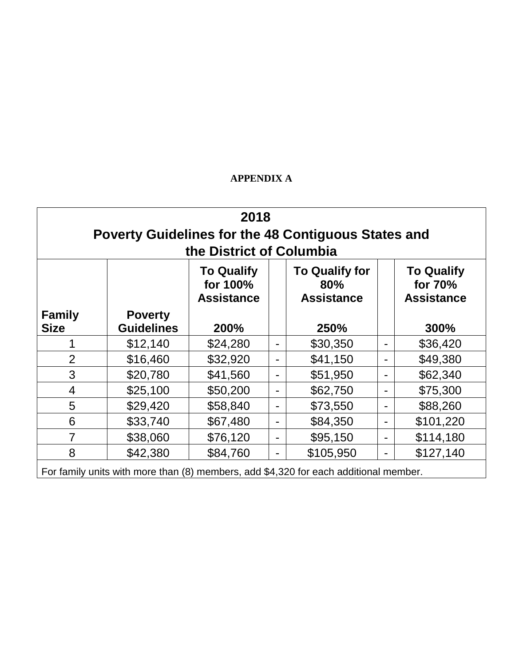## **APPENDIX A**

| 2018<br>Poverty Guidelines for the 48 Contiguous States and<br>the District of Columbia |                                     |                                                    |                |                                                   |   |                                                   |
|-----------------------------------------------------------------------------------------|-------------------------------------|----------------------------------------------------|----------------|---------------------------------------------------|---|---------------------------------------------------|
|                                                                                         |                                     | <b>To Qualify</b><br>for 100%<br><b>Assistance</b> |                | <b>To Qualify for</b><br>80%<br><b>Assistance</b> |   | <b>To Qualify</b><br>for 70%<br><b>Assistance</b> |
| <b>Family</b><br><b>Size</b>                                                            | <b>Poverty</b><br><b>Guidelines</b> | 200%                                               |                | 250%                                              |   | 300%                                              |
|                                                                                         | \$12,140                            | \$24,280                                           | -              | \$30,350                                          |   | \$36,420                                          |
| $\overline{2}$                                                                          | \$16,460                            | \$32,920                                           | $\blacksquare$ | \$41,150                                          | - | \$49,380                                          |
| 3                                                                                       | \$20,780                            | \$41,560                                           | $\blacksquare$ | \$51,950                                          |   | \$62,340                                          |
| 4                                                                                       | \$25,100                            | \$50,200                                           | -              | \$62,750                                          | - | \$75,300                                          |
| 5                                                                                       | \$29,420                            | \$58,840                                           | -              | \$73,550                                          | - | \$88,260                                          |
| 6                                                                                       | \$33,740                            | \$67,480                                           | $\blacksquare$ | \$84,350                                          | - | \$101,220                                         |
| 7                                                                                       | \$38,060                            | \$76,120                                           | $\blacksquare$ | \$95,150                                          |   | \$114,180                                         |
| 8                                                                                       | \$42,380                            | \$84,760                                           | -              | \$105,950                                         | - | \$127,140                                         |
| For family units with more than (8) members, add \$4,320 for each additional member.    |                                     |                                                    |                |                                                   |   |                                                   |